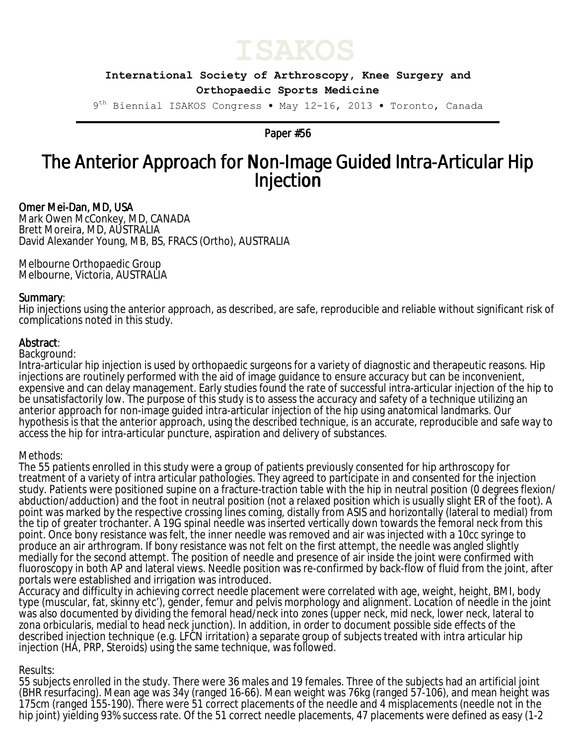

**International Society of Arthroscopy, Knee Surgery and Orthopaedic Sports Medicine**

9<sup>th</sup> Biennial ISAKOS Congress • May 12-16, 2013 • Toronto, Canada

Paper #56

# The Anterior Approach for Non-Image Guided Intra-Articular Hip Injection

# Omer Mei-Dan, MD, USA

Mark Owen McConkey, MD, CANADA Brett Moreira, MD, AUSTRALIA David Alexander Young, MB, BS, FRACS (Ortho), AUSTRALIA

Melbourne Orthopaedic Group Melbourne, Victoria, AUSTRALIA

# Summary:

Hip injections using the anterior approach, as described, are safe, reproducible and reliable without significant risk of complications noted in this study.

# Abstract:

#### Background:

Intra-articular hip injection is used by orthopaedic surgeons for a variety of diagnostic and therapeutic reasons. Hip injections are routinely performed with the aid of image guidance to ensure accuracy but can be inconvenient, expensive and can delay management. Early studies found the rate of successful intra-articular injection of the hip to be unsatisfactorily low. The purpose of this study is to assess the accuracy and safety of a technique utilizing an anterior approach for non-image guided intra-articular injection of the hip using anatomical landmarks. Our hypothesis is that the anterior approach, using the described technique, is an accurate, reproducible and safe way to access the hip for intra-articular puncture, aspiration and delivery of substances.

#### Methods:

The 55 patients enrolled in this study were a group of patients previously consented for hip arthroscopy for treatment of a variety of intra articular pathologies. They agreed to participate in and consented for the injection study. Patients were positioned supine on a fracture-traction table with the hip in neutral position (0 degrees flexion/ abduction/adduction) and the foot in neutral position (not a relaxed position which is usually slight ER of the foot). A point was marked by the respective crossing lines coming, distally from ASIS and horizontally (lateral to medial) from the tip of greater trochanter. A 19G spinal needle was inserted vertically down towards the femoral neck from this point. Once bony resistance was felt, the inner needle was removed and air was injected with a 10cc syringe to produce an air arthrogram. If bony resistance was not felt on the first attempt, the needle was angled slightly medially for the second attempt. The position of needle and presence of air inside the joint were confirmed with fluoroscopy in both AP and lateral views. Needle position was re-confirmed by back-flow of fluid from the joint, after portals were established and irrigation was introduced.

Accuracy and difficulty in achieving correct needle placement were correlated with age, weight, height, BMI, body type (muscular, fat, skinny etc'), gender, femur and pelvis morphology and alignment. Location of needle in the joint was also documented by dividing the femoral head/neck into zones (upper neck, mid neck, lower neck, lateral to zona orbicularis, medial to head neck junction). In addition, in order to document possible side effects of the described injection technique (e.g. LFCN irritation) a separate group of subjects treated with intra articular hip injection (HA, PRP, Steroids) using the same technique, was followed.

#### Results:

55 subjects enrolled in the study. There were 36 males and 19 females. Three of the subjects had an artificial joint (BHR resurfacing). Mean age was 34y (ranged 16-66). Mean weight was 76kg (ranged 57-106), and mean height was 175cm (ranged 155-190). There were 51 correct placements of the needle and 4 misplacements (needle not in the hip joint) yielding 93% success rate. Of the 51 correct needle placements, 47 placements were defined as easy (1-2